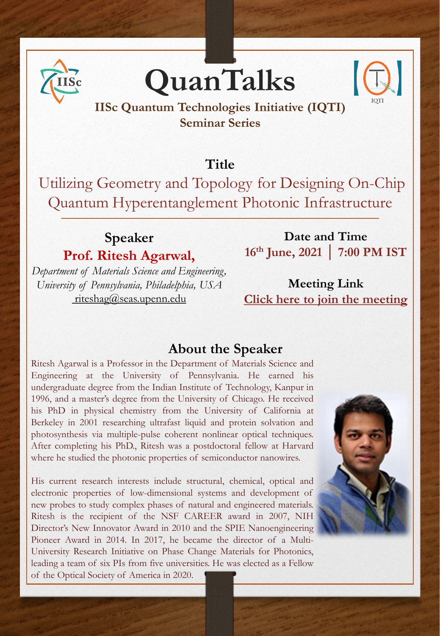

# **QuanTalks**



## **IISc Quantum Technologies Initiative (IQTI) Seminar Series**

## **Title**

Utilizing Geometry and Topology for Designing On-Chip Quantum Hyperentanglement Photonic Infrastructure

# **Speaker Prof. Ritesh Agarwal,**

*Department of Materials Science and Engineering, University of Pennsylvania, Philadelphia, USA*  [riteshag@seas.upenn.edu](mailto:riteshag@seas.upenn.edu)

**Date and Time 16th June, 2021 │ 7:00 PM IST**

**Meeting Link [Click here to join the meeting](https://teams.microsoft.com/l/meetup-join/19%3ameeting_ZWJjZThlNDMtZjg2ZC00NTIyLTg2ZWEtZDRmZjA2YjQ0ZTMy%40thread.v2/0?context=%7b%22Tid%22%3a%226f15cd97-f6a7-41e3-b2c5-ad4193976476%22%2c%22Oid%22%3a%22b1e98dc1-4e01-4163-b345-6491abb1028a%22%7d)**

#### **About the Speaker**

Ritesh Agarwal is a Professor in the Department of Materials Science and Engineering at the University of Pennsylvania. He earned his undergraduate degree from the Indian Institute of Technology, Kanpur in 1996, and a master's degree from the University of Chicago. He received his PhD in physical chemistry from the University of California at Berkeley in 2001 researching ultrafast liquid and protein solvation and photosynthesis via multiple-pulse coherent nonlinear optical techniques. After completing his PhD., Ritesh was a postdoctoral fellow at Harvard where he studied the photonic properties of semiconductor nanowires.

His current research interests include structural, chemical, optical and electronic properties of low-dimensional systems and development of new probes to study complex phases of natural and engineered materials. Ritesh is the recipient of the NSF CAREER award in 2007, NIH Director's New Innovator Award in 2010 and the SPIE Nanoengineering Pioneer Award in 2014. In 2017, he became the director of a Multi-University Research Initiative on Phase Change Materials for Photonics, leading a team of six PIs from five universities. He was elected as a Fellow of the Optical Society of America in 2020.